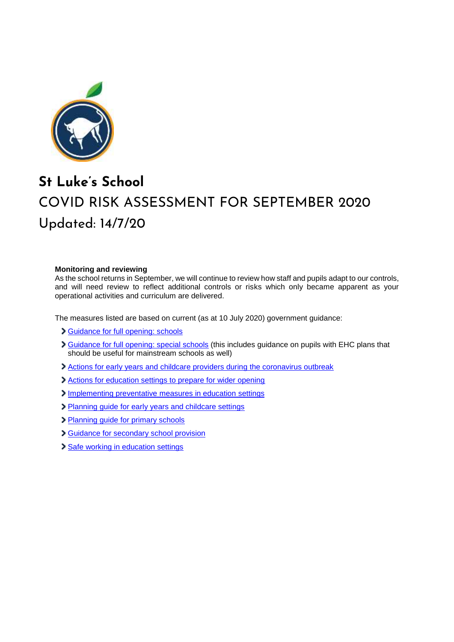

## **St Luke's School** COVID RISK ASSESSMENT FOR SEPTEMBER 2020 Updated: 14/7/20

## **Monitoring and reviewing**

As the school returns in September, we will continue to review how staff and pupils adapt to our controls, and will need review to reflect additional controls or risks which only became apparent as your operational activities and curriculum are delivered.

The measures listed are based on current (as at 10 July 2020) government guidance:

- [Guidance for full opening: schools](https://www.gov.uk/government/publications/actions-for-schools-during-the-coronavirus-outbreak/guidance-for-full-opening-schools)
- Suidance for full opening: special schools (this includes guidance on pupils with EHC plans that should be useful for mainstream schools as well)
- [Actions for early years and childcare providers during the coronavirus outbreak](https://www.gov.uk/government/publications/coronavirus-covid-19-early-years-and-childcare-closures/coronavirus-covid-19-early-years-and-childcare-closures)
- [Actions for education settings to prepare for wider opening](https://www.gov.uk/government/publications/actions-for-educational-and-childcare-settings-to-prepare-for-wider-opening-from-1-june-2020/actions-for-education-and-childcare-settings-to-prepare-for-wider-opening-from-1-june-2020)
- [Implementing preventative measures in education](https://www.gov.uk/government/publications/coronavirus-covid-19-implementing-protective-measures-in-education-and-childcare-settings/coronavirus-covid-19-implementing-protective-measures-in-education-and-childcare-settings) settings
- [Planning guide for early years and childcare settings](https://www.gov.uk/government/publications/preparing-for-the-wider-opening-of-early-years-and-childcare-settings-from-1-june/planning-guide-for-early-years-and-childcare-settings)
- [Planning guide for primary schools](https://www.gov.uk/government/publications/preparing-for-the-wider-opening-of-schools-from-1-june/planning-guide-for-primary-schools)
- [Guidance for secondary school provision](https://www.gov.uk/government/publications/preparing-for-the-wider-opening-of-schools-from-1-june/planning-guide-for-secondary-schools)
- [Safe working in education settings](https://www.gov.uk/government/publications/safe-working-in-education-childcare-and-childrens-social-care/safe-working-in-education-childcare-and-childrens-social-care-settings-including-the-use-of-personal-protective-equipment-ppe)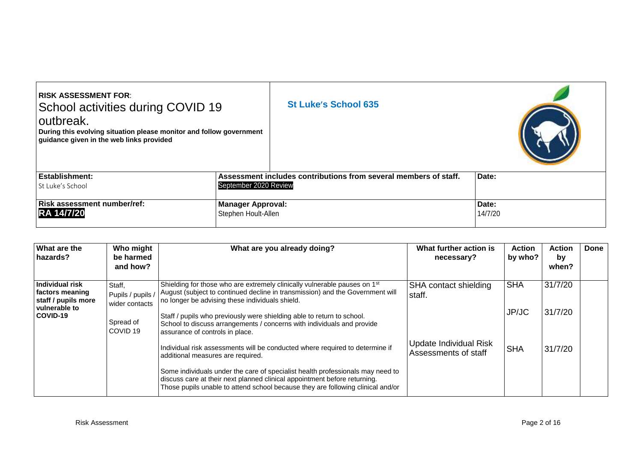| <b>RISK ASSESSMENT FOR:</b><br>School activities during COVID 19<br>outbreak.<br>During this evolving situation please monitor and follow government<br>guidance given in the web links provided |                          | <b>St Luke's School 635</b>                                      |         |
|--------------------------------------------------------------------------------------------------------------------------------------------------------------------------------------------------|--------------------------|------------------------------------------------------------------|---------|
| Establishment:                                                                                                                                                                                   |                          | Assessment includes contributions from several members of staff. | Date:   |
| St Luke's School                                                                                                                                                                                 | September 2020 Review    |                                                                  |         |
| Risk assessment number/ref:                                                                                                                                                                      | <b>Manager Approval:</b> |                                                                  | Date:   |
| <b>RA 14/7/20</b>                                                                                                                                                                                | Stephen Hoult-Allen      |                                                                  | 14/7/20 |

| What are the<br>hazards?                                  | Who might<br>be harmed<br>and how?            | What are you already doing?                                                                                                                                                                                                                    | What further action is<br>necessary?           | <b>Action</b><br>by who? | <b>Action</b><br>by<br>when? | Done |
|-----------------------------------------------------------|-----------------------------------------------|------------------------------------------------------------------------------------------------------------------------------------------------------------------------------------------------------------------------------------------------|------------------------------------------------|--------------------------|------------------------------|------|
| Individual risk<br>factors meaning<br>staff / pupils more | Staff.<br>Pupils / pupils /<br>wider contacts | Shielding for those who are extremely clinically vulnerable pauses on 1 <sup>st</sup><br>August (subject to continued decline in transmission) and the Government will<br>no longer be advising these individuals shield.                      | SHA contact shielding<br>staff.                | <b>SHA</b>               | 31/7/20                      |      |
| vulnerable to<br>COVID-19                                 | Spread of<br>COVID <sub>19</sub>              | Staff / pupils who previously were shielding able to return to school.<br>School to discuss arrangements / concerns with individuals and provide<br>assurance of controls in place.                                                            |                                                | JP/JC                    | 31/7/20                      |      |
|                                                           |                                               | Individual risk assessments will be conducted where required to determine if<br>additional measures are required.                                                                                                                              | Update Individual Risk<br>Assessments of staff | <b>SHA</b>               | 31/7/20                      |      |
|                                                           |                                               | Some individuals under the care of specialist health professionals may need to<br>discuss care at their next planned clinical appointment before returning.<br>Those pupils unable to attend school because they are following clinical and/or |                                                |                          |                              |      |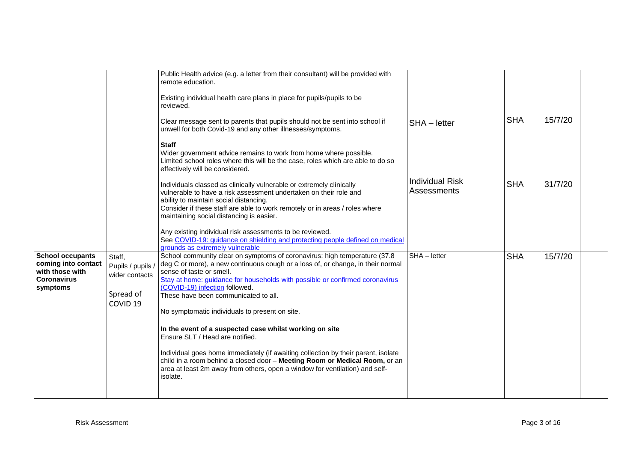|                                                                                                     |                                                                                   | Public Health advice (e.g. a letter from their consultant) will be provided with<br>remote education.<br>Existing individual health care plans in place for pupils/pupils to be<br>reviewed.<br>Clear message sent to parents that pupils should not be sent into school if<br>unwell for both Covid-19 and any other illnesses/symptoms.<br><b>Staff</b><br>Wider government advice remains to work from home where possible.<br>Limited school roles where this will be the case, roles which are able to do so<br>effectively will be considered.                                                                                                                                                                                                              | SHA - letter                          | <b>SHA</b> | 15/7/20 |  |
|-----------------------------------------------------------------------------------------------------|-----------------------------------------------------------------------------------|-------------------------------------------------------------------------------------------------------------------------------------------------------------------------------------------------------------------------------------------------------------------------------------------------------------------------------------------------------------------------------------------------------------------------------------------------------------------------------------------------------------------------------------------------------------------------------------------------------------------------------------------------------------------------------------------------------------------------------------------------------------------|---------------------------------------|------------|---------|--|
|                                                                                                     |                                                                                   | Individuals classed as clinically vulnerable or extremely clinically<br>vulnerable to have a risk assessment undertaken on their role and<br>ability to maintain social distancing.<br>Consider if these staff are able to work remotely or in areas / roles where<br>maintaining social distancing is easier.<br>Any existing individual risk assessments to be reviewed.<br>See COVID-19: guidance on shielding and protecting people defined on medical<br>grounds as extremely vulnerable                                                                                                                                                                                                                                                                     | <b>Individual Risk</b><br>Assessments | <b>SHA</b> | 31/7/20 |  |
| <b>School occupants</b><br>coming into contact<br>with those with<br><b>Coronavirus</b><br>symptoms | Staff,<br>Pupils / pupils /<br>wider contacts<br>Spread of<br>COVID <sub>19</sub> | School community clear on symptoms of coronavirus: high temperature (37.8)<br>deg C or more), a new continuous cough or a loss of, or change, in their normal<br>sense of taste or smell.<br>Stay at home: guidance for households with possible or confirmed coronavirus<br>(COVID-19) infection followed.<br>These have been communicated to all.<br>No symptomatic individuals to present on site.<br>In the event of a suspected case whilst working on site<br>Ensure SLT / Head are notified.<br>Individual goes home immediately (if awaiting collection by their parent, isolate<br>child in a room behind a closed door - Meeting Room or Medical Room, or an<br>area at least 2m away from others, open a window for ventilation) and self-<br>isolate. | SHA - letter                          | <b>SHA</b> | 15/7/20 |  |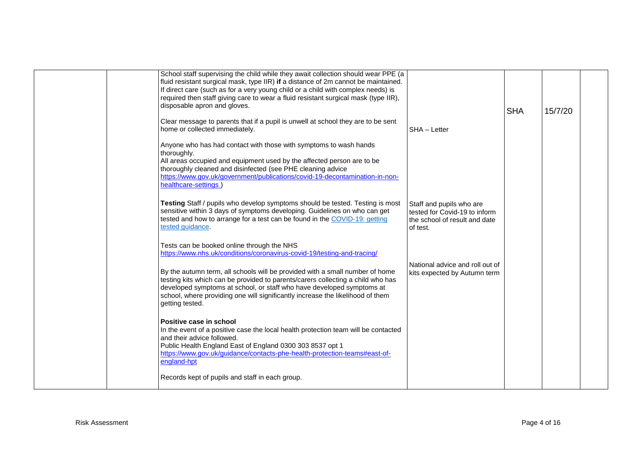| School staff supervising the child while they await collection should wear PPE (a<br>fluid resistant surgical mask, type IIR) if a distance of 2m cannot be maintained.<br>If direct care (such as for a very young child or a child with complex needs) is<br>required then staff giving care to wear a fluid resistant surgical mask (type IIR),<br>disposable apron and gloves.<br>Clear message to parents that if a pupil is unwell at school they are to be sent |                                                                                                        | <b>SHA</b> | 15/7/20 |  |
|------------------------------------------------------------------------------------------------------------------------------------------------------------------------------------------------------------------------------------------------------------------------------------------------------------------------------------------------------------------------------------------------------------------------------------------------------------------------|--------------------------------------------------------------------------------------------------------|------------|---------|--|
| home or collected immediately.<br>Anyone who has had contact with those with symptoms to wash hands<br>thoroughly.<br>All areas occupied and equipment used by the affected person are to be<br>thoroughly cleaned and disinfected (see PHE cleaning advice<br>https://www.gov.uk/government/publications/covid-19-decontamination-in-non-<br>healthcare-settings)                                                                                                     | SHA - Letter                                                                                           |            |         |  |
| Testing Staff / pupils who develop symptoms should be tested. Testing is most<br>sensitive within 3 days of symptoms developing. Guidelines on who can get<br>tested and how to arrange for a test can be found in the COVID-19: getting<br>tested guidance.                                                                                                                                                                                                           | Staff and pupils who are<br>tested for Covid-19 to inform<br>the school of result and date<br>of test. |            |         |  |
| Tests can be booked online through the NHS<br>https://www.nhs.uk/conditions/coronavirus-covid-19/testing-and-tracing/<br>By the autumn term, all schools will be provided with a small number of home<br>testing kits which can be provided to parents/carers collecting a child who has<br>developed symptoms at school, or staff who have developed symptoms at<br>school, where providing one will significantly increase the likelihood of them<br>getting tested. | National advice and roll out of<br>kits expected by Autumn term                                        |            |         |  |
| Positive case in school<br>In the event of a positive case the local health protection team will be contacted<br>and their advice followed.<br>Public Health England East of England 0300 303 8537 opt 1<br>https://www.gov.uk/guidance/contacts-phe-health-protection-teams#east-of-<br>england-hpt<br>Records kept of pupils and staff in each group.                                                                                                                |                                                                                                        |            |         |  |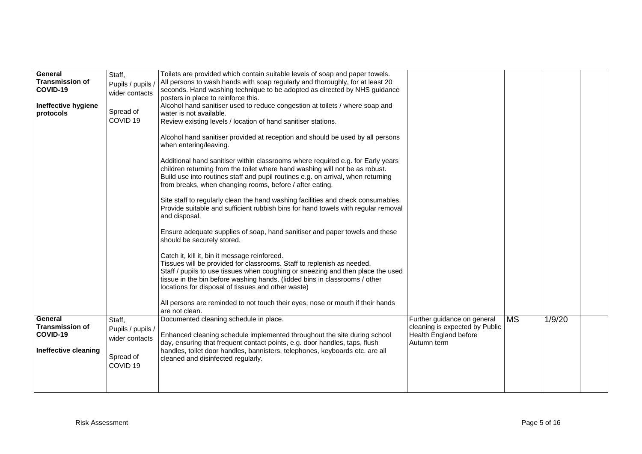| General<br><b>Transmission of</b><br>COVID-19<br>Ineffective hygiene<br>protocols | Staff,<br>Pupils / pupils /<br>wider contacts<br>Spread of<br>COVID <sub>19</sub> | Toilets are provided which contain suitable levels of soap and paper towels.<br>All persons to wash hands with soap regularly and thoroughly, for at least 20<br>seconds. Hand washing technique to be adopted as directed by NHS guidance<br>posters in place to reinforce this.<br>Alcohol hand sanitiser used to reduce congestion at toilets / where soap and<br>water is not available.<br>Review existing levels / location of hand sanitiser stations. |                                                                        |           |        |  |
|-----------------------------------------------------------------------------------|-----------------------------------------------------------------------------------|---------------------------------------------------------------------------------------------------------------------------------------------------------------------------------------------------------------------------------------------------------------------------------------------------------------------------------------------------------------------------------------------------------------------------------------------------------------|------------------------------------------------------------------------|-----------|--------|--|
|                                                                                   |                                                                                   | Alcohol hand sanitiser provided at reception and should be used by all persons<br>when entering/leaving.<br>Additional hand sanitiser within classrooms where required e.g. for Early years<br>children returning from the toilet where hand washing will not be as robust.<br>Build use into routines staff and pupil routines e.g. on arrival, when returning<br>from breaks, when changing rooms, before / after eating.                                   |                                                                        |           |        |  |
|                                                                                   |                                                                                   | Site staff to regularly clean the hand washing facilities and check consumables.<br>Provide suitable and sufficient rubbish bins for hand towels with regular removal<br>and disposal.<br>Ensure adequate supplies of soap, hand sanitiser and paper towels and these<br>should be securely stored.                                                                                                                                                           |                                                                        |           |        |  |
|                                                                                   |                                                                                   | Catch it, kill it, bin it message reinforced.<br>Tissues will be provided for classrooms. Staff to replenish as needed.<br>Staff / pupils to use tissues when coughing or sneezing and then place the used<br>tissue in the bin before washing hands. (lidded bins in classrooms / other<br>locations for disposal of tissues and other waste)<br>All persons are reminded to not touch their eyes, nose or mouth if their hands                              |                                                                        |           |        |  |
| General                                                                           | Staff,                                                                            | are not clean.<br>Documented cleaning schedule in place.                                                                                                                                                                                                                                                                                                                                                                                                      | Further guidance on general                                            | <b>MS</b> | 1/9/20 |  |
| <b>Transmission of</b><br>COVID-19                                                | Pupils / pupils /<br>wider contacts                                               | Enhanced cleaning schedule implemented throughout the site during school<br>day, ensuring that frequent contact points, e.g. door handles, taps, flush                                                                                                                                                                                                                                                                                                        | cleaning is expected by Public<br>Health England before<br>Autumn term |           |        |  |
| Ineffective cleaning                                                              | Spread of<br>COVID <sub>19</sub>                                                  | handles, toilet door handles, bannisters, telephones, keyboards etc. are all<br>cleaned and disinfected regularly.                                                                                                                                                                                                                                                                                                                                            |                                                                        |           |        |  |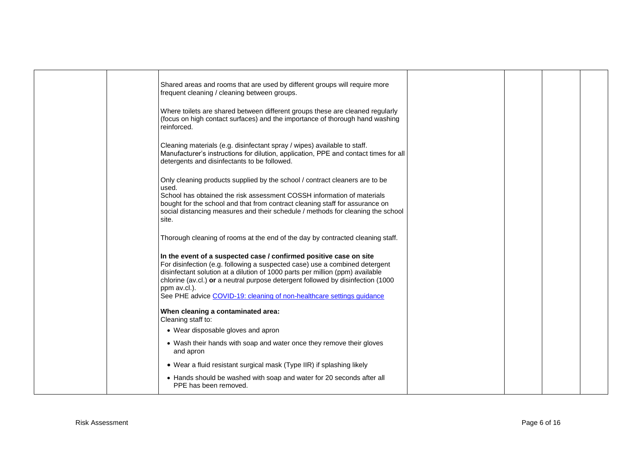|  | Shared areas and rooms that are used by different groups will require more<br>frequent cleaning / cleaning between groups.                                                                                                                                                                                                                                                                                     |  |  |
|--|----------------------------------------------------------------------------------------------------------------------------------------------------------------------------------------------------------------------------------------------------------------------------------------------------------------------------------------------------------------------------------------------------------------|--|--|
|  | Where toilets are shared between different groups these are cleaned regularly<br>(focus on high contact surfaces) and the importance of thorough hand washing<br>reinforced.                                                                                                                                                                                                                                   |  |  |
|  | Cleaning materials (e.g. disinfectant spray / wipes) available to staff.<br>Manufacturer's instructions for dilution, application, PPE and contact times for all<br>detergents and disinfectants to be followed.                                                                                                                                                                                               |  |  |
|  | Only cleaning products supplied by the school / contract cleaners are to be<br>used.<br>School has obtained the risk assessment COSSH information of materials<br>bought for the school and that from contract cleaning staff for assurance on<br>social distancing measures and their schedule / methods for cleaning the school<br>site.                                                                     |  |  |
|  | Thorough cleaning of rooms at the end of the day by contracted cleaning staff.                                                                                                                                                                                                                                                                                                                                 |  |  |
|  | In the event of a suspected case / confirmed positive case on site<br>For disinfection (e.g. following a suspected case) use a combined detergent<br>disinfectant solution at a dilution of 1000 parts per million (ppm) available<br>chlorine (av.cl.) or a neutral purpose detergent followed by disinfection (1000<br>ppm av.cl.).<br>See PHE advice COVID-19: cleaning of non-healthcare settings guidance |  |  |
|  | When cleaning a contaminated area:<br>Cleaning staff to:                                                                                                                                                                                                                                                                                                                                                       |  |  |
|  | • Wear disposable gloves and apron                                                                                                                                                                                                                                                                                                                                                                             |  |  |
|  | • Wash their hands with soap and water once they remove their gloves<br>and apron                                                                                                                                                                                                                                                                                                                              |  |  |
|  | • Wear a fluid resistant surgical mask (Type IIR) if splashing likely                                                                                                                                                                                                                                                                                                                                          |  |  |
|  | • Hands should be washed with soap and water for 20 seconds after all<br>PPE has been removed.                                                                                                                                                                                                                                                                                                                 |  |  |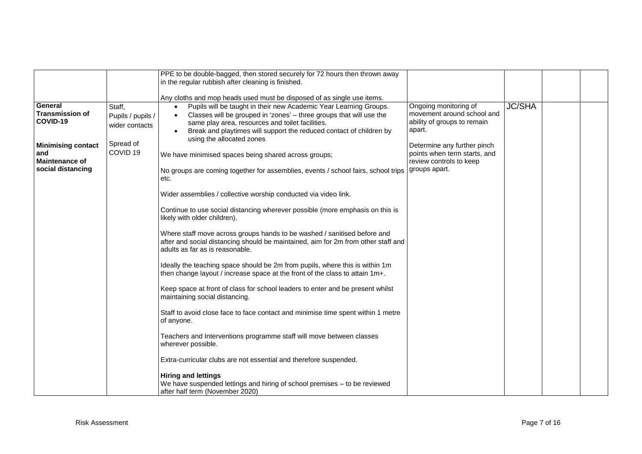|                                                                                                                                                                                                                      | PPE to be double-bagged, then stored securely for 72 hours then thrown away<br>in the regular rubbish after cleaning is finished.<br>Any cloths and mop heads used must be disposed of as single use items.                                                                                                                                                                                                                                                                                                                                                                                                                                                                                                                                                                                                                                                                                                                                                                                                                                                                                                                                                                                                                                                                                                                                                                                                                                                                                                                                                                                 |                                                                                                                                                                                                         |               |  |
|----------------------------------------------------------------------------------------------------------------------------------------------------------------------------------------------------------------------|---------------------------------------------------------------------------------------------------------------------------------------------------------------------------------------------------------------------------------------------------------------------------------------------------------------------------------------------------------------------------------------------------------------------------------------------------------------------------------------------------------------------------------------------------------------------------------------------------------------------------------------------------------------------------------------------------------------------------------------------------------------------------------------------------------------------------------------------------------------------------------------------------------------------------------------------------------------------------------------------------------------------------------------------------------------------------------------------------------------------------------------------------------------------------------------------------------------------------------------------------------------------------------------------------------------------------------------------------------------------------------------------------------------------------------------------------------------------------------------------------------------------------------------------------------------------------------------------|---------------------------------------------------------------------------------------------------------------------------------------------------------------------------------------------------------|---------------|--|
| General<br>Staff,<br><b>Transmission of</b><br>Pupils / pupils /<br>COVID-19<br>wider contacts<br>Spread of<br><b>Minimising contact</b><br>COVID <sub>19</sub><br>and<br><b>Maintenance of</b><br>social distancing | Pupils will be taught in their new Academic Year Learning Groups.<br>$\bullet$<br>Classes will be grouped in 'zones' - three groups that will use the<br>$\bullet$<br>same play area, resources and toilet facilities.<br>Break and playtimes will support the reduced contact of children by<br>$\bullet$<br>using the allocated zones<br>We have minimised spaces being shared across groups;<br>No groups are coming together for assemblies, events / school fairs, school trips<br>etc.<br>Wider assemblies / collective worship conducted via video link.<br>Continue to use social distancing wherever possible (more emphasis on this is<br>likely with older children).<br>Where staff move across groups hands to be washed / sanitised before and<br>after and social distancing should be maintained, aim for 2m from other staff and<br>adults as far as is reasonable.<br>Ideally the teaching space should be 2m from pupils, where this is within 1m<br>then change layout / increase space at the front of the class to attain 1m+.<br>Keep space at front of class for school leaders to enter and be present whilst<br>maintaining social distancing.<br>Staff to avoid close face to face contact and minimise time spent within 1 metre<br>of anyone.<br>Teachers and Interventions programme staff will move between classes<br>wherever possible.<br>Extra-curricular clubs are not essential and therefore suspended.<br><b>Hiring and lettings</b><br>We have suspended lettings and hiring of school premises - to be reviewed<br>after half term (November 2020) | Ongoing monitoring of<br>movement around school and<br>ability of groups to remain<br>apart.<br>Determine any further pinch<br>points when term starts, and<br>review controls to keep<br>groups apart. | <b>JC/SHA</b> |  |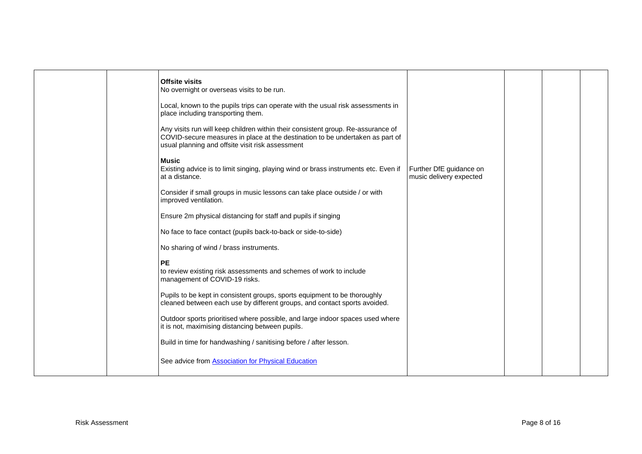|  | <b>Offsite visits</b><br>No overnight or overseas visits to be run.                                                                                                                                                   |                                                    |  |  |
|--|-----------------------------------------------------------------------------------------------------------------------------------------------------------------------------------------------------------------------|----------------------------------------------------|--|--|
|  | Local, known to the pupils trips can operate with the usual risk assessments in<br>place including transporting them.                                                                                                 |                                                    |  |  |
|  | Any visits run will keep children within their consistent group. Re-assurance of<br>COVID-secure measures in place at the destination to be undertaken as part of<br>usual planning and offsite visit risk assessment |                                                    |  |  |
|  | <b>Music</b><br>Existing advice is to limit singing, playing wind or brass instruments etc. Even if<br>at a distance.                                                                                                 | Further DfE guidance on<br>music delivery expected |  |  |
|  | Consider if small groups in music lessons can take place outside / or with<br>improved ventilation.                                                                                                                   |                                                    |  |  |
|  | Ensure 2m physical distancing for staff and pupils if singing                                                                                                                                                         |                                                    |  |  |
|  | No face to face contact (pupils back-to-back or side-to-side)                                                                                                                                                         |                                                    |  |  |
|  | No sharing of wind / brass instruments.                                                                                                                                                                               |                                                    |  |  |
|  | PE<br>to review existing risk assessments and schemes of work to include<br>management of COVID-19 risks.                                                                                                             |                                                    |  |  |
|  | Pupils to be kept in consistent groups, sports equipment to be thoroughly<br>cleaned between each use by different groups, and contact sports avoided.                                                                |                                                    |  |  |
|  | Outdoor sports prioritised where possible, and large indoor spaces used where<br>it is not, maximising distancing between pupils.                                                                                     |                                                    |  |  |
|  | Build in time for handwashing / sanitising before / after lesson.                                                                                                                                                     |                                                    |  |  |
|  | See advice from <b>Association</b> for Physical Education                                                                                                                                                             |                                                    |  |  |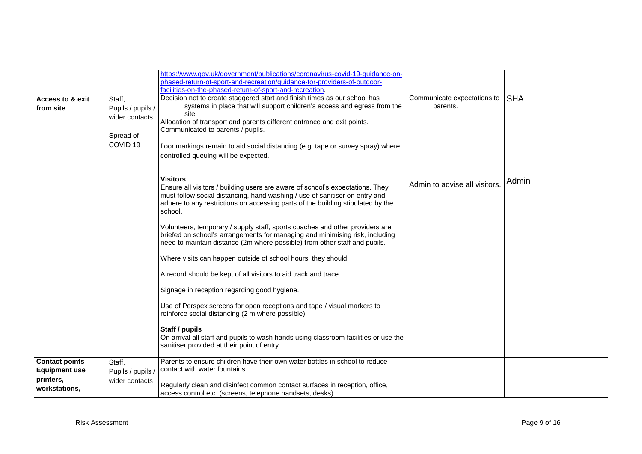|                                          |                             | https://www.gov.uk/government/publications/coronavirus-covid-19-guidance-on-                                                                                                                                                                                                  |                                         |            |  |
|------------------------------------------|-----------------------------|-------------------------------------------------------------------------------------------------------------------------------------------------------------------------------------------------------------------------------------------------------------------------------|-----------------------------------------|------------|--|
|                                          |                             | phased-return-of-sport-and-recreation/guidance-for-providers-of-outdoor-                                                                                                                                                                                                      |                                         |            |  |
|                                          |                             | facilities-on-the-phased-return-of-sport-and-recreation.                                                                                                                                                                                                                      |                                         |            |  |
| <b>Access to &amp; exit</b><br>from site | Staff,<br>Pupils / pupils / | Decision not to create staggered start and finish times as our school has<br>systems in place that will support children's access and egress from the                                                                                                                         | Communicate expectations to<br>parents. | <b>SHA</b> |  |
|                                          | wider contacts<br>Spread of | site.<br>Allocation of transport and parents different entrance and exit points.<br>Communicated to parents / pupils.                                                                                                                                                         |                                         |            |  |
|                                          | COVID <sub>19</sub>         | floor markings remain to aid social distancing (e.g. tape or survey spray) where<br>controlled queuing will be expected.                                                                                                                                                      |                                         |            |  |
|                                          |                             | <b>Visitors</b><br>Ensure all visitors / building users are aware of school's expectations. They<br>must follow social distancing, hand washing / use of sanitiser on entry and<br>adhere to any restrictions on accessing parts of the building stipulated by the<br>school. | Admin to advise all visitors            | Admin      |  |
|                                          |                             | Volunteers, temporary / supply staff, sports coaches and other providers are<br>briefed on school's arrangements for managing and minimising risk, including<br>need to maintain distance (2m where possible) from other staff and pupils.                                    |                                         |            |  |
|                                          |                             | Where visits can happen outside of school hours, they should.                                                                                                                                                                                                                 |                                         |            |  |
|                                          |                             | A record should be kept of all visitors to aid track and trace.                                                                                                                                                                                                               |                                         |            |  |
|                                          |                             | Signage in reception regarding good hygiene.                                                                                                                                                                                                                                  |                                         |            |  |
|                                          |                             | Use of Perspex screens for open receptions and tape / visual markers to<br>reinforce social distancing (2 m where possible)                                                                                                                                                   |                                         |            |  |
|                                          |                             | Staff / pupils<br>On arrival all staff and pupils to wash hands using classroom facilities or use the<br>sanitiser provided at their point of entry.                                                                                                                          |                                         |            |  |
| <b>Contact points</b>                    | Staff,                      | Parents to ensure children have their own water bottles in school to reduce                                                                                                                                                                                                   |                                         |            |  |
| <b>Equipment use</b>                     | Pupils / pupils /           | contact with water fountains.                                                                                                                                                                                                                                                 |                                         |            |  |
| printers,                                | wider contacts              |                                                                                                                                                                                                                                                                               |                                         |            |  |
| workstations,                            |                             | Regularly clean and disinfect common contact surfaces in reception, office,<br>access control etc. (screens, telephone handsets, desks).                                                                                                                                      |                                         |            |  |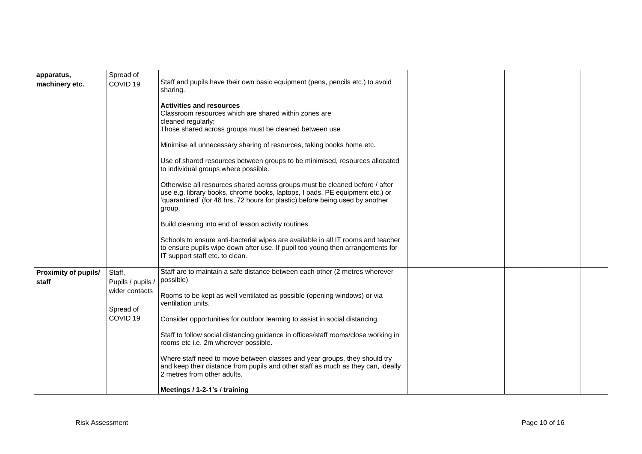| apparatus,<br>machinery etc.         | Spread of<br>COVID <sub>19</sub> | Staff and pupils have their own basic equipment (pens, pencils etc.) to avoid<br>sharing.                                                                                                                                                              |  |  |
|--------------------------------------|----------------------------------|--------------------------------------------------------------------------------------------------------------------------------------------------------------------------------------------------------------------------------------------------------|--|--|
|                                      |                                  | <b>Activities and resources</b><br>Classroom resources which are shared within zones are<br>cleaned regularly;<br>Those shared across groups must be cleaned between use                                                                               |  |  |
|                                      |                                  | Minimise all unnecessary sharing of resources, taking books home etc.                                                                                                                                                                                  |  |  |
|                                      |                                  | Use of shared resources between groups to be minimised, resources allocated<br>to individual groups where possible.                                                                                                                                    |  |  |
|                                      |                                  | Otherwise all resources shared across groups must be cleaned before / after<br>use e.g. library books, chrome books, laptops, I pads, PE equipment etc.) or<br>'quarantined' (for 48 hrs, 72 hours for plastic) before being used by another<br>group. |  |  |
|                                      |                                  | Build cleaning into end of lesson activity routines.                                                                                                                                                                                                   |  |  |
|                                      |                                  | Schools to ensure anti-bacterial wipes are available in all IT rooms and teacher<br>to ensure pupils wipe down after use. If pupil too young then arrangements for<br>IT support staff etc. to clean.                                                  |  |  |
| <b>Proximity of pupils/</b><br>staff | Staff,<br>Pupils / pupils /      | Staff are to maintain a safe distance between each other (2 metres wherever<br>possible)                                                                                                                                                               |  |  |
|                                      | wider contacts<br>Spread of      | Rooms to be kept as well ventilated as possible (opening windows) or via<br>ventilation units.                                                                                                                                                         |  |  |
|                                      | COVID <sub>19</sub>              | Consider opportunities for outdoor learning to assist in social distancing.                                                                                                                                                                            |  |  |
|                                      |                                  | Staff to follow social distancing guidance in offices/staff rooms/close working in<br>rooms etc i.e. 2m wherever possible.                                                                                                                             |  |  |
|                                      |                                  | Where staff need to move between classes and year groups, they should try<br>and keep their distance from pupils and other staff as much as they can, ideally<br>2 metres from other adults.                                                           |  |  |
|                                      |                                  | Meetings / 1-2-1's / training                                                                                                                                                                                                                          |  |  |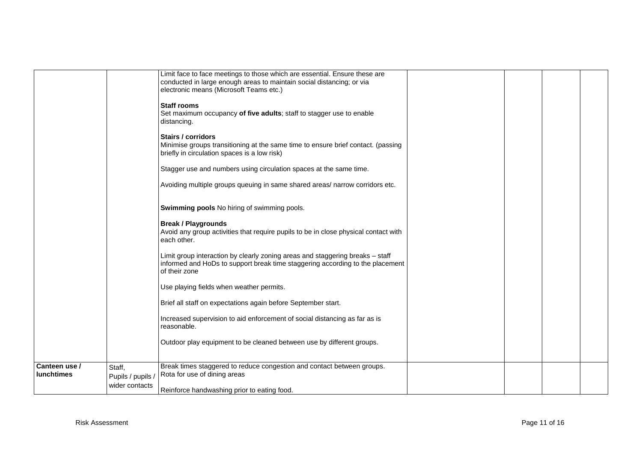|                                    |                             | Limit face to face meetings to those which are essential. Ensure these are<br>conducted in large enough areas to maintain social distancing; or via<br>electronic means (Microsoft Teams etc.) |  |  |
|------------------------------------|-----------------------------|------------------------------------------------------------------------------------------------------------------------------------------------------------------------------------------------|--|--|
|                                    |                             | <b>Staff rooms</b><br>Set maximum occupancy of five adults; staff to stagger use to enable<br>distancing.                                                                                      |  |  |
|                                    |                             | <b>Stairs / corridors</b><br>Minimise groups transitioning at the same time to ensure brief contact. (passing<br>briefly in circulation spaces is a low risk)                                  |  |  |
|                                    |                             | Stagger use and numbers using circulation spaces at the same time.                                                                                                                             |  |  |
|                                    |                             | Avoiding multiple groups queuing in same shared areas/ narrow corridors etc.                                                                                                                   |  |  |
|                                    |                             | Swimming pools No hiring of swimming pools.                                                                                                                                                    |  |  |
|                                    |                             | <b>Break / Playgrounds</b><br>Avoid any group activities that require pupils to be in close physical contact with<br>each other.                                                               |  |  |
|                                    |                             | Limit group interaction by clearly zoning areas and staggering breaks - staff<br>informed and HoDs to support break time staggering according to the placement<br>of their zone                |  |  |
|                                    |                             | Use playing fields when weather permits.                                                                                                                                                       |  |  |
|                                    |                             | Brief all staff on expectations again before September start.                                                                                                                                  |  |  |
|                                    |                             | Increased supervision to aid enforcement of social distancing as far as is<br>reasonable.                                                                                                      |  |  |
|                                    |                             | Outdoor play equipment to be cleaned between use by different groups.                                                                                                                          |  |  |
| Canteen use /<br><b>lunchtimes</b> | Staff,<br>Pupils / pupils / | Break times staggered to reduce congestion and contact between groups.<br>Rota for use of dining areas                                                                                         |  |  |
|                                    | wider contacts              | Reinforce handwashing prior to eating food.                                                                                                                                                    |  |  |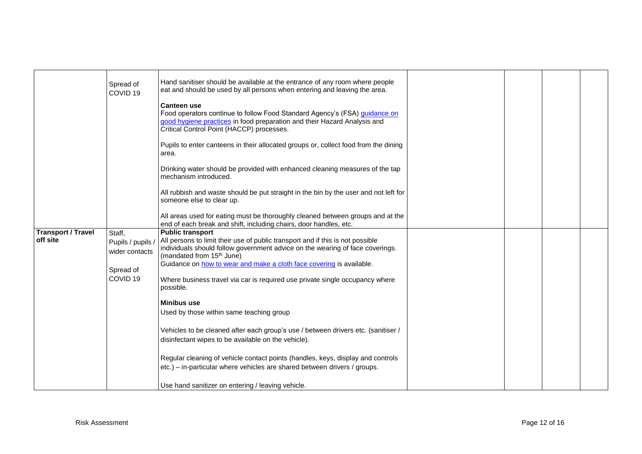|                                       | Spread of<br>COVID <sub>19</sub>                                                  | Hand sanitiser should be available at the entrance of any room where people<br>eat and should be used by all persons when entering and leaving the area.<br><b>Canteen use</b><br>Food operators continue to follow Food Standard Agency's (FSA) quidance on<br>good hygiene practices in food preparation and their Hazard Analysis and<br>Critical Control Point (HACCP) processes.                                                                                                                                                                                                                                                                                                                                                                                                                                                                |  |  |
|---------------------------------------|-----------------------------------------------------------------------------------|------------------------------------------------------------------------------------------------------------------------------------------------------------------------------------------------------------------------------------------------------------------------------------------------------------------------------------------------------------------------------------------------------------------------------------------------------------------------------------------------------------------------------------------------------------------------------------------------------------------------------------------------------------------------------------------------------------------------------------------------------------------------------------------------------------------------------------------------------|--|--|
|                                       |                                                                                   | Pupils to enter canteens in their allocated groups or, collect food from the dining<br>area.<br>Drinking water should be provided with enhanced cleaning measures of the tap<br>mechanism introduced.                                                                                                                                                                                                                                                                                                                                                                                                                                                                                                                                                                                                                                                |  |  |
|                                       |                                                                                   | All rubbish and waste should be put straight in the bin by the user and not left for<br>someone else to clear up.<br>All areas used for eating must be thoroughly cleaned between groups and at the                                                                                                                                                                                                                                                                                                                                                                                                                                                                                                                                                                                                                                                  |  |  |
| <b>Transport / Travel</b><br>off site | Staff,<br>Pupils / pupils /<br>wider contacts<br>Spread of<br>COVID <sub>19</sub> | end of each break and shift, including chairs, door handles, etc.<br><b>Public transport</b><br>All persons to limit their use of public transport and if this is not possible<br>individuals should follow government advice on the wearing of face coverings.<br>(mandated from 15 <sup>th</sup> June)<br>Guidance on how to wear and make a cloth face covering is available.<br>Where business travel via car is required use private single occupancy where<br>possible.<br>Minibus use<br>Used by those within same teaching group<br>Vehicles to be cleaned after each group's use / between drivers etc. (sanitiser /<br>disinfectant wipes to be available on the vehicle).<br>Regular cleaning of vehicle contact points (handles, keys, display and controls<br>etc.) – in-particular where vehicles are shared between drivers / groups. |  |  |
|                                       |                                                                                   | Use hand sanitizer on entering / leaving vehicle.                                                                                                                                                                                                                                                                                                                                                                                                                                                                                                                                                                                                                                                                                                                                                                                                    |  |  |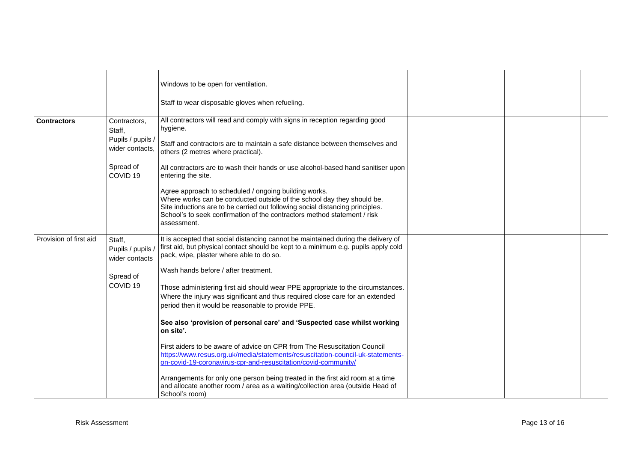|                        |                                                                                                    | Windows to be open for ventilation.                                                                                                                                                                                                                                                                                                                                                                                                                                                                                                                                                                                                                                                                                                                                                                                                                                                                                                                                                                  |  |  |
|------------------------|----------------------------------------------------------------------------------------------------|------------------------------------------------------------------------------------------------------------------------------------------------------------------------------------------------------------------------------------------------------------------------------------------------------------------------------------------------------------------------------------------------------------------------------------------------------------------------------------------------------------------------------------------------------------------------------------------------------------------------------------------------------------------------------------------------------------------------------------------------------------------------------------------------------------------------------------------------------------------------------------------------------------------------------------------------------------------------------------------------------|--|--|
|                        |                                                                                                    | Staff to wear disposable gloves when refueling.                                                                                                                                                                                                                                                                                                                                                                                                                                                                                                                                                                                                                                                                                                                                                                                                                                                                                                                                                      |  |  |
| <b>Contractors</b>     | Contractors,<br>Staff,<br>Pupils / pupils /<br>wider contacts,<br>Spread of<br>COVID <sub>19</sub> | All contractors will read and comply with signs in reception regarding good<br>hygiene.<br>Staff and contractors are to maintain a safe distance between themselves and<br>others (2 metres where practical).<br>All contractors are to wash their hands or use alcohol-based hand sanitiser upon<br>entering the site.<br>Agree approach to scheduled / ongoing building works.<br>Where works can be conducted outside of the school day they should be.<br>Site inductions are to be carried out following social distancing principles.<br>School's to seek confirmation of the contractors method statement / risk<br>assessment.                                                                                                                                                                                                                                                                                                                                                               |  |  |
| Provision of first aid | Staff,<br>Pupils / pupils /<br>wider contacts<br>Spread of<br>COVID <sub>19</sub>                  | It is accepted that social distancing cannot be maintained during the delivery of<br>first aid, but physical contact should be kept to a minimum e.g. pupils apply cold<br>pack, wipe, plaster where able to do so.<br>Wash hands before / after treatment.<br>Those administering first aid should wear PPE appropriate to the circumstances.<br>Where the injury was significant and thus required close care for an extended<br>period then it would be reasonable to provide PPE.<br>See also 'provision of personal care' and 'Suspected case whilst working<br>on site'.<br>First aiders to be aware of advice on CPR from The Resuscitation Council<br>https://www.resus.org.uk/media/statements/resuscitation-council-uk-statements-<br>on-covid-19-coronavirus-cpr-and-resuscitation/covid-community/<br>Arrangements for only one person being treated in the first aid room at a time<br>and allocate another room / area as a waiting/collection area (outside Head of<br>School's room) |  |  |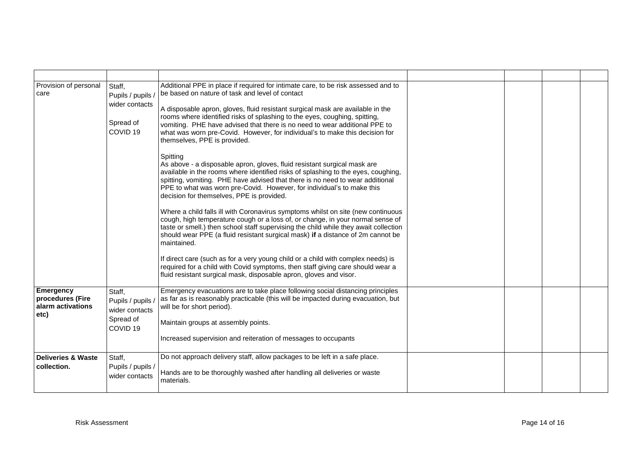| Provision of personal<br>care                                     | Staff,<br>Pupils / pupils /<br>wider contacts<br>Spread of<br>COVID <sub>19</sub> | Additional PPE in place if required for intimate care, to be risk assessed and to<br>be based on nature of task and level of contact<br>A disposable apron, gloves, fluid resistant surgical mask are available in the<br>rooms where identified risks of splashing to the eyes, coughing, spitting,<br>vomiting. PHE have advised that there is no need to wear additional PPE to<br>what was worn pre-Covid. However, for individual's to make this decision for<br>themselves, PPE is provided.<br>Spitting<br>As above - a disposable apron, gloves, fluid resistant surgical mask are<br>available in the rooms where identified risks of splashing to the eyes, coughing,<br>spitting, vomiting. PHE have advised that there is no need to wear additional<br>PPE to what was worn pre-Covid. However, for individual's to make this<br>decision for themselves, PPE is provided.<br>Where a child falls ill with Coronavirus symptoms whilst on site (new continuous<br>cough, high temperature cough or a loss of, or change, in your normal sense of<br>taste or smell.) then school staff supervising the child while they await collection<br>should wear PPE (a fluid resistant surgical mask) if a distance of 2m cannot be<br>maintained.<br>If direct care (such as for a very young child or a child with complex needs) is<br>required for a child with Covid symptoms, then staff giving care should wear a<br>fluid resistant surgical mask, disposable apron, gloves and visor. |  |  |
|-------------------------------------------------------------------|-----------------------------------------------------------------------------------|-----------------------------------------------------------------------------------------------------------------------------------------------------------------------------------------------------------------------------------------------------------------------------------------------------------------------------------------------------------------------------------------------------------------------------------------------------------------------------------------------------------------------------------------------------------------------------------------------------------------------------------------------------------------------------------------------------------------------------------------------------------------------------------------------------------------------------------------------------------------------------------------------------------------------------------------------------------------------------------------------------------------------------------------------------------------------------------------------------------------------------------------------------------------------------------------------------------------------------------------------------------------------------------------------------------------------------------------------------------------------------------------------------------------------------------------------------------------------------------------------------|--|--|
| <b>Emergency</b><br>procedures (Fire<br>alarm activations<br>etc) | Staff,<br>Pupils / pupils /<br>wider contacts<br>Spread of<br>COVID <sub>19</sub> | Emergency evacuations are to take place following social distancing principles<br>as far as is reasonably practicable (this will be impacted during evacuation, but<br>will be for short period).<br>Maintain groups at assembly points.<br>Increased supervision and reiteration of messages to occupants                                                                                                                                                                                                                                                                                                                                                                                                                                                                                                                                                                                                                                                                                                                                                                                                                                                                                                                                                                                                                                                                                                                                                                                          |  |  |
| <b>Deliveries &amp; Waste</b><br>collection.                      | Staff,<br>Pupils / pupils /<br>wider contacts                                     | Do not approach delivery staff, allow packages to be left in a safe place.<br>Hands are to be thoroughly washed after handling all deliveries or waste<br>materials.                                                                                                                                                                                                                                                                                                                                                                                                                                                                                                                                                                                                                                                                                                                                                                                                                                                                                                                                                                                                                                                                                                                                                                                                                                                                                                                                |  |  |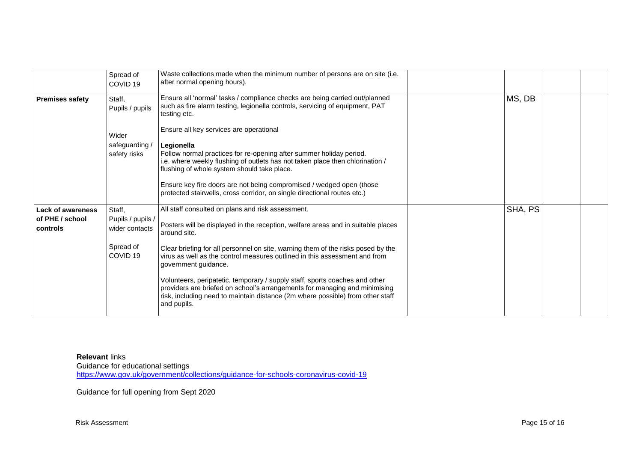|                             | Spread of<br>COVID <sub>19</sub>    | Waste collections made when the minimum number of persons are on site (i.e.<br>after normal opening hours).                                                                                                                                                |         |  |
|-----------------------------|-------------------------------------|------------------------------------------------------------------------------------------------------------------------------------------------------------------------------------------------------------------------------------------------------------|---------|--|
| <b>Premises safety</b>      | Staff,<br>Pupils / pupils           | Ensure all 'normal' tasks / compliance checks are being carried out/planned<br>such as fire alarm testing, legionella controls, servicing of equipment, PAT<br>testing etc.                                                                                | MS, DB  |  |
|                             | Wider                               | Ensure all key services are operational                                                                                                                                                                                                                    |         |  |
|                             | safeguarding /<br>safety risks      | Legionella<br>Follow normal practices for re-opening after summer holiday period.<br>i.e. where weekly flushing of outlets has not taken place then chlorination /<br>flushing of whole system should take place.                                          |         |  |
|                             |                                     | Ensure key fire doors are not being compromised / wedged open (those<br>protected stairwells, cross corridor, on single directional routes etc.)                                                                                                           |         |  |
| <b>Lack of awareness</b>    | Staff,                              | All staff consulted on plans and risk assessment.                                                                                                                                                                                                          | SHA, PS |  |
| of PHE / school<br>controls | Pupils / pupils /<br>wider contacts | Posters will be displayed in the reception, welfare areas and in suitable places<br>around site.                                                                                                                                                           |         |  |
|                             | Spread of<br>COVID <sub>19</sub>    | Clear briefing for all personnel on site, warning them of the risks posed by the<br>virus as well as the control measures outlined in this assessment and from<br>government guidance.                                                                     |         |  |
|                             |                                     | Volunteers, peripatetic, temporary / supply staff, sports coaches and other<br>providers are briefed on school's arrangements for managing and minimising<br>risk, including need to maintain distance (2m where possible) from other staff<br>and pupils. |         |  |

**Relevant** links Guidance for educational settings <https://www.gov.uk/government/collections/guidance-for-schools-coronavirus-covid-19>

Guidance for full opening from Sept 2020